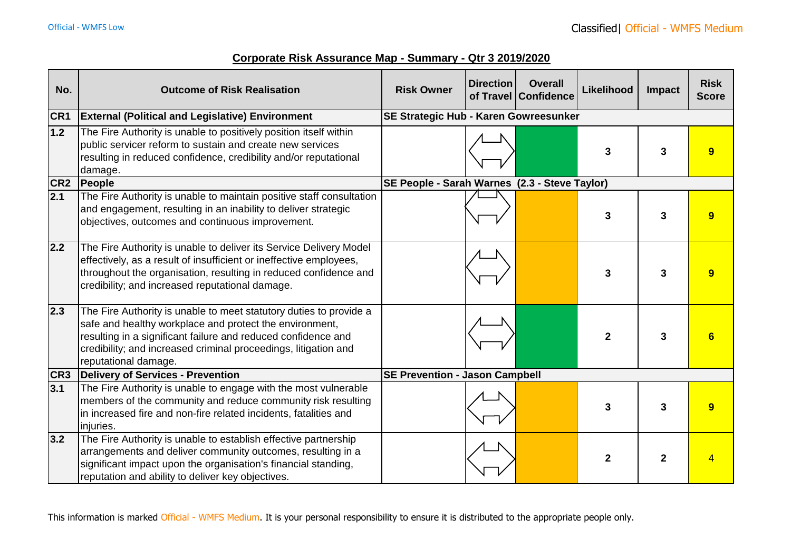|  |  |  |  |  |  |  |  |  | Corporate Risk Assurance Map - Summary - Qtr 3 2019/2020 |
|--|--|--|--|--|--|--|--|--|----------------------------------------------------------|
|--|--|--|--|--|--|--|--|--|----------------------------------------------------------|

| No.              | <b>Outcome of Risk Realisation</b>                                                                                                                                                                                                                                                        | <b>Risk Owner</b>                             | <b>Direction</b> | <b>Overall</b><br>of Travel Confidence | <b>Likelihood</b> | Impact      | <b>Risk</b><br><b>Score</b> |
|------------------|-------------------------------------------------------------------------------------------------------------------------------------------------------------------------------------------------------------------------------------------------------------------------------------------|-----------------------------------------------|------------------|----------------------------------------|-------------------|-------------|-----------------------------|
| CR <sub>1</sub>  | <b>External (Political and Legislative) Environment</b>                                                                                                                                                                                                                                   | SE Strategic Hub - Karen Gowreesunker         |                  |                                        |                   |             |                             |
| $1.2$            | The Fire Authority is unable to positively position itself within<br>public servicer reform to sustain and create new services<br>resulting in reduced confidence, credibility and/or reputational<br>damage.                                                                             |                                               |                  |                                        | 3                 | 3           | 9                           |
|                  | CR2 People                                                                                                                                                                                                                                                                                | SE People - Sarah Warnes (2.3 - Steve Taylor) |                  |                                        |                   |             |                             |
| $\overline{2.1}$ | The Fire Authority is unable to maintain positive staff consultation<br>and engagement, resulting in an inability to deliver strategic<br>objectives, outcomes and continuous improvement.                                                                                                |                                               |                  |                                        | 3                 | 3           | 9                           |
| 2.2              | The Fire Authority is unable to deliver its Service Delivery Model<br>effectively, as a result of insufficient or ineffective employees,<br>throughout the organisation, resulting in reduced confidence and<br>credibility; and increased reputational damage.                           |                                               |                  |                                        | 3                 | 3           | 9                           |
| $\vert$ 2.3      | The Fire Authority is unable to meet statutory duties to provide a<br>safe and healthy workplace and protect the environment,<br>resulting in a significant failure and reduced confidence and<br>credibility; and increased criminal proceedings, litigation and<br>reputational damage. |                                               |                  |                                        | $\mathbf{2}$      | 3           |                             |
| CR <sub>3</sub>  | Delivery of Services - Prevention                                                                                                                                                                                                                                                         | <b>SE Prevention - Jason Campbell</b>         |                  |                                        |                   |             |                             |
| 3.1              | The Fire Authority is unable to engage with the most vulnerable<br>members of the community and reduce community risk resulting<br>in increased fire and non-fire related incidents, fatalities and<br>injuries.                                                                          |                                               |                  |                                        | 3                 | 3           | 9                           |
| 3.2              | The Fire Authority is unable to establish effective partnership<br>arrangements and deliver community outcomes, resulting in a<br>significant impact upon the organisation's financial standing,<br>reputation and ability to deliver key objectives.                                     |                                               |                  |                                        | $\mathbf 2$       | $\mathbf 2$ |                             |

This information is marked Official - WMFS Medium. It is your personal responsibility to ensure it is distributed to the appropriate people only.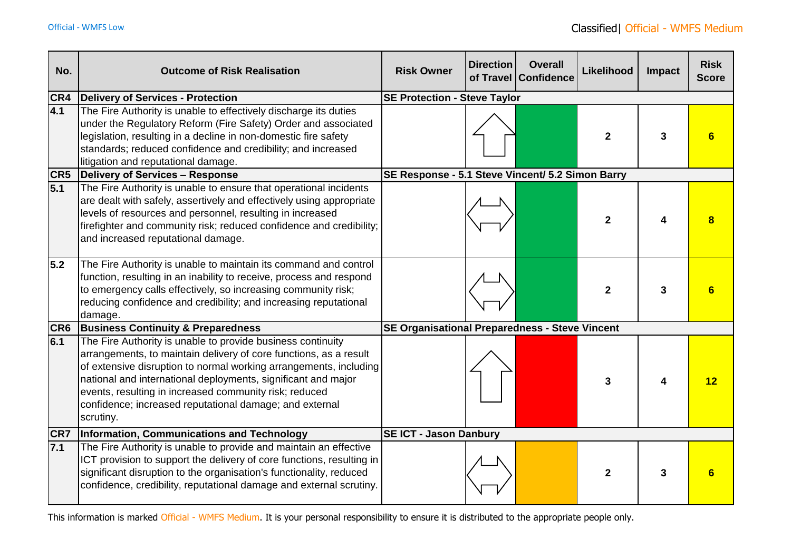| No.        | <b>Outcome of Risk Realisation</b>                                                                                                                                                                                                                                                                                                                                                                       | <b>Risk Owner</b>                                     | <b>Direction</b> | <b>Overall</b><br>of Travel Confidence | Likelihood     | Impact | <b>Risk</b><br><b>Score</b> |  |  |
|------------|----------------------------------------------------------------------------------------------------------------------------------------------------------------------------------------------------------------------------------------------------------------------------------------------------------------------------------------------------------------------------------------------------------|-------------------------------------------------------|------------------|----------------------------------------|----------------|--------|-----------------------------|--|--|
| CR4        | Delivery of Services - Protection                                                                                                                                                                                                                                                                                                                                                                        | <b>SE Protection - Steve Taylor</b>                   |                  |                                        |                |        |                             |  |  |
| 4.1        | The Fire Authority is unable to effectively discharge its duties<br>under the Regulatory Reform (Fire Safety) Order and associated<br>legislation, resulting in a decline in non-domestic fire safety<br>standards; reduced confidence and credibility; and increased<br>litigation and reputational damage.                                                                                             |                                                       |                  |                                        | $\mathbf{2}$   | 3      |                             |  |  |
|            | <b>CR5</b> Delivery of Services - Response                                                                                                                                                                                                                                                                                                                                                               | SE Response - 5.1 Steve Vincent/ 5.2 Simon Barry      |                  |                                        |                |        |                             |  |  |
| 5.1        | The Fire Authority is unable to ensure that operational incidents<br>are dealt with safely, assertively and effectively using appropriate<br>levels of resources and personnel, resulting in increased<br>firefighter and community risk; reduced confidence and credibility;<br>and increased reputational damage.                                                                                      |                                                       |                  |                                        | $\mathbf{2}$   |        |                             |  |  |
| 5.2        | The Fire Authority is unable to maintain its command and control<br>function, resulting in an inability to receive, process and respond<br>to emergency calls effectively, so increasing community risk;<br>reducing confidence and credibility; and increasing reputational<br>damage.                                                                                                                  |                                                       |                  |                                        | $\mathbf{2}$   | 3      |                             |  |  |
|            | <b>CR6</b> Business Continuity & Preparedness                                                                                                                                                                                                                                                                                                                                                            | <b>SE Organisational Preparedness - Steve Vincent</b> |                  |                                        |                |        |                             |  |  |
| 6.1        | The Fire Authority is unable to provide business continuity<br>arrangements, to maintain delivery of core functions, as a result<br>of extensive disruption to normal working arrangements, including<br>national and international deployments, significant and major<br>events, resulting in increased community risk; reduced<br>confidence; increased reputational damage; and external<br>scrutiny. |                                                       |                  |                                        | 3              |        | 12                          |  |  |
| <b>CR7</b> | Information, Communications and Technology                                                                                                                                                                                                                                                                                                                                                               | <b>SE ICT - Jason Danbury</b>                         |                  |                                        |                |        |                             |  |  |
| 7.1        | The Fire Authority is unable to provide and maintain an effective<br>ICT provision to support the delivery of core functions, resulting in<br>significant disruption to the organisation's functionality, reduced<br>confidence, credibility, reputational damage and external scrutiny.                                                                                                                 |                                                       |                  |                                        | $\overline{2}$ | 3      | 6                           |  |  |

This information is marked Official - WMFS Medium. It is your personal responsibility to ensure it is distributed to the appropriate people only.